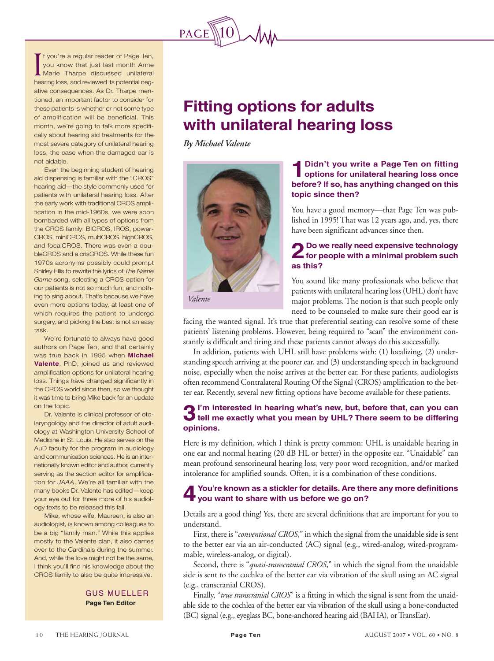

F you're a regular reader of Page Ten,<br>you know that just last month Anne<br>Marie Tharpe discussed unilateral you know that just last month Anne Marie Tharpe discussed unilateral If you're a regular reader of Page Ten,<br>
you know that just last month Anne<br>
Marie Tharpe discussed unilateral<br>
hearing loss, and reviewed its potential negative consequences. As Dr. Tharpe mentioned, an important factor to consider for these patients is whether or not some type of amplification will be beneficial. This training our brains? You don't hear so month, we're going to talk more specifimonth, we re going to take more epool.<br>cally about hearing aid treatments for the can *j* about nouring and a button to for any most severe category of unilateral hearing<br>with the category of unilateral hearing loss, the case when the damaged ear is  $\frac{101 \text{ du} \cdot \text{u}}{5}$ not aidable.

Even the beginning student of hearing aid dispensing is familiar with the "CROS"<br>. hearing aid—the style commonly used for patients with unilateral hearing loss. After are early work with traditional CNOS ampli-<br>fication in the mid-1960s, we were soon  $\frac{1}{2}$  cation in the ring-1900s, we were soon bombarded with all types of options from the CROS family: BiCROS, IROS, power-CROS, miniCROS, multiCROS, highCROS, and localon los. There was even a dou-<br>bleCROS and a crisCROS. While these fun piechos and a chsonos, while these idir<br>1970s acronyms possibly could prompt  $\frac{1970s}{1900s}$  acronyins possibly could promp Shirley Ellis to rewrite the lyrics of *The Name* Game song, selecting a CROS option for our patients is not so much fun, and nothing to sing about. That's because we have even more options today, at least one of which requires the patient to undergo surgery, and picking the best is not an easy<br>. his LACE program. We're going to tack the going to tack the going to tack the going to tack the going to tack<br>The going to tack the going to tack the going to tack the going to tack the going to the going to the going to the early work with traditional CROS ampliand focalCROS. There was even a douwhich requires the patient to undergo task.

We're fortunate to always have good authors on Page Ten, and that certainly was true back in 1990 when **michaer**<br>**Valente**, PhD, joined us and reviewed valente, *PTD*, joined us and reviewed<br>amplification options for unilateral hearing writewation<br>Ph<sub>D</sub> loss. Things have changed significantly in the CROS world since then, so we thought it was time to bring Mike back for an update was true back in 1995 when **Michael** on the topic.

an the topic.<br>Dr. Valente is clinical professor of oto-Evanshire is circulated professor of oro laryngology and the director of adult audiology at Washington University School of Medicine in St. Louis. He also serves on the AuD faculty for the program in audiology and communication sciences. He is an inter-<br>nationally known editor and author, currently rationally Kilowin editor and serving as the section editor for amplification for *JAAA*. We're all familiar with the many books Dr. Valente has edited—keep your eye out for three more of his audioland communication sciences. He is an interogy texts to be released this fall.

ygy texts to be released this rail.<br>Mike, whose wife, Maureen, is also an beving with the wile, ividured it, is also an<br>interview about the wiles audiologist, is known among colleagues to be a big "family man." While this applies mostly to the Valente clan, it also carries over to the Cardinals during the summer. And, while the love might not be the same, r trilink you il liniu riis kriowiedge about the<br>CROS family to also be quite impressive. I think you'll find his knowledge about the

> GUS MUELLER GUS MUELLER **Page Ten Editor Page Ten Editor**

## **Fitting options for adults with unilateral hearing loss**

*By Michael Valente*



## **1Didn't you write a Page Ten on fitting options for unilateral hearing loss once before? If so, has anything changed on this topic since then?**

You have a good memory—that Page Ten was published in 1995! That was 12 years ago, and, yes, there have been significant advances since then.

## **2Do we really need expensive technology for people with a minimal problem such as this?**

You sound like many professionals who believe that patients with unilateral hearing loss (UHL) don't have major problems. The notion is that such people only need to be counseled to make sure their good ear is

facing the wanted signal. It's true that preferential seating can resolve some of these patients' listening problems. However, being required to "scan" the environment constantly is difficult and tiring and these patients cannot always do this successfully.

In addition, patients with UHL still have problems with: (1) localizing, (2) understanding speech arriving at the poorer ear, and (3) understanding speech in background noise, especially when the noise arrives at the better ear. For these patients, audiologists often recommend Contralateral Routing Of the Signal (CROS) amplification to the better ear. Recently, several new fitting options have become available for these patients.

## **3I'm interested in hearing what's new, but, before that, can you can tell me exactly what you mean by UHL? There seem to be differing opinions.**

Here is my definition, which I think is pretty common: UHL is unaidable hearing in one ear and normal hearing (20 dB HL or better) in the opposite ear. "Unaidable" can mean profound sensorineural hearing loss, very poor word recognition, and/or marked intolerance for amplified sounds. Often, it is a combination of these conditions.

#### **4You're known as a stickler for details. Are there any more definitions you want to share with us before we go on?**

Details are a good thing! Yes, there are several definitions that are important for you to understand.

First, there is "*conventional CROS*," in which the signal from the unaidable side is sent to the better ear via an air-conducted (AC) signal (e.g., wired-analog, wired-programmable, wireless-analog, or digital).

Second, there is "*quasi-transcranial CROS*," in which the signal from the unaidable side is sent to the cochlea of the better ear via vibration of the skull using an AC signal (e.g., transcranial CROS).

Finally, "*true transcranial CROS*" is a fitting in which the signal is sent from the unaidable side to the cochlea of the better ear via vibration of the skull using a bone-conducted (BC) signal (e.g., eyeglass BC, bone-anchored hearing aid (BAHA), or TransEar).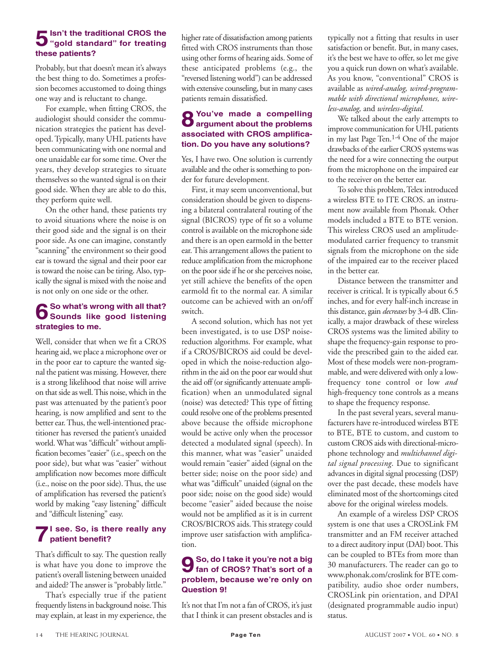## **5Isn't the traditional CROS the "gold standard" for treating these patients?**

Probably, but that doesn't mean it's always the best thing to do. Sometimes a profession becomes accustomed to doing things one way and is reluctant to change.

For example, when fitting CROS, the audiologist should consider the communication strategies the patient has developed. Typically, many UHL patients have been communicating with one normal and one unaidable ear for some time. Over the years, they develop strategies to situate themselves so the wanted signal is on their good side. When they are able to do this, they perform quite well.

On the other hand, these patients try to avoid situations where the noise is on their good side and the signal is on their poor side. As one can imagine, constantly "scanning" the environment so their good ear is toward the signal and their poor ear is toward the noise can be tiring. Also, typically the signal is mixed with the noise and is not only on one side or the other.

## **6So what's wrong with all that? Sounds like good listening strategies to me.**

Well, consider that when we fit a CROS hearing aid, we place a microphone over or in the poor ear to capture the wanted signal the patient was missing. However, there is a strong likelihood that noise will arrive on that side as well. This noise, which in the past was attenuated by the patient's poor hearing, is now amplified and sent to the better ear. Thus, the well-intentioned practitioner has reversed the patient's unaided world. What was "difficult" without amplification becomes "easier" (i.e., speech on the poor side), but what was "easier" without amplification now becomes more difficult (i.e., noise on the poor side). Thus, the use of amplification has reversed the patient's world by making "easy listening" difficult and "difficult listening" easy.

#### **7I see. So, is there really any patient benefit?**

That's difficult to say. The question really is what have you done to improve the patient's overall listening between unaided and aided? The answer is "probably little."

That's especially true if the patient frequently listens in background noise. This may explain, at least in my experience, the

higher rate of dissatisfaction among patients fitted with CROS instruments than those using other forms of hearing aids. Some of these anticipated problems (e.g., the "reversed listening world") can be addressed with extensive counseling, but in many cases patients remain dissatisfied.

#### **8You've made a compelling argument about the problems associated with CROS amplification. Do you have any solutions?**

Yes, I have two. One solution is currently available and the other is something to ponder for future development.

First, it may seem unconventional, but consideration should be given to dispensing a bilateral contralateral routing of the signal (BICROS) type of fit so a volume control is available on the microphone side and there is an open earmold in the better ear. This arrangement allows the patient to reduce amplification from the microphone on the poor side if he or she perceives noise, yet still achieve the benefits of the open earmold fit to the normal ear. A similar outcome can be achieved with an on/off switch.

A second solution, which has not yet been investigated, is to use DSP noisereduction algorithms. For example, what if a CROS/BICROS aid could be developed in which the noise-reduction algorithm in the aid on the poor ear would shut the aid off (or significantly attenuate amplification) when an unmodulated signal (noise) was detected? This type of fitting could resolve one of the problems presented above because the offside microphone would be active only when the processor detected a modulated signal (speech). In this manner, what was "easier" unaided would remain "easier" aided (signal on the better side; noise on the poor side) and what was "difficult" unaided (signal on the poor side; noise on the good side) would become "easier" aided because the noise would not be amplified as it is in current CROS/BICROS aids. This strategy could improve user satisfaction with amplification.

#### **9So, do I take it you're not a big fan of CROS? That's sort of a problem, because we're only on Question 9!**

It's not that I'm not a fan of CROS, it's just that I think it can present obstacles and is typically not a fitting that results in user satisfaction or benefit. But, in many cases, it's the best we have to offer, so let me give you a quick run down on what's available. As you know, "conventional" CROS is available as *wired-analog, wired-programmable with directional microphones, wireless-analog,* and *wireless-digital*.

We talked about the early attempts to improve communication for UHL patients in my last Page Ten.1-4 One of the major drawbacks of the earlier CROS systems was the need for a wire connecting the output from the microphone on the impaired ear to the receiver on the better ear.

To solve this problem, Telex introduced a wireless BTE to ITE CROS. an instrument now available from Phonak. Other models included a BTE to BTE version. This wireless CROS used an amplitudemodulated carrier frequency to transmit signals from the microphone on the side of the impaired ear to the receiver placed in the better ear.

Distance between the transmitter and receiver is critical. It is typically about 6.5 inches, and for every half-inch increase in this distance, gain *decreases* by 3-4 dB. Clinically, a major drawback of these wireless CROS systems was the limited ability to shape the frequency-gain response to provide the prescribed gain to the aided ear. Most of these models were non-programmable, and were delivered with only a lowfrequency tone control or low *and* high-frequency tone controls as a means to shape the frequency response.

In the past several years, several manufacturers have re-introduced wireless BTE to BTE, BTE to custom, and custom to custom CROS aids with directional-microphone technology and *multichannel digital signal processing*. Due to significant advances in digital signal processing (DSP) over the past decade, these models have eliminated most of the shortcomings cited above for the original wireless models.

An example of a wireless DSP CROS system is one that uses a CROSLink FM transmitter and an FM receiver attached to a direct auditory input (DAI) boot. This can be coupled to BTEs from more than 30 manufacturers. The reader can go to www.phonak.com/croslink for BTE compatibility, audio shoe order numbers, CROSLink pin orientation, and DPAI (designated programmable audio input) status.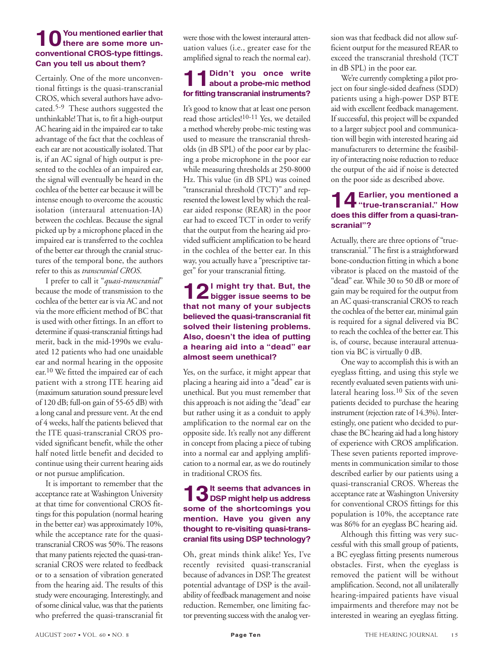#### **10You mentioned earlier that there are some more unconventional CROS-type fittings. Can you tell us about them?**

Certainly. One of the more unconventional fittings is the quasi-transcranial CROS, which several authors have advocated.5-9 These authors suggested the unthinkable! That is, to fit a high-output AC hearing aid in the impaired ear to take advantage of the fact that the cochleas of each ear are not acoustically isolated. That is, if an AC signal of high output is presented to the cochlea of an impaired ear, the signal will eventually be heard in the cochlea of the better ear because it will be intense enough to overcome the acoustic isolation (interaural attenuation-IA) between the cochleas. Because the signal picked up by a microphone placed in the impaired ear is transferred to the cochlea of the better ear through the cranial structures of the temporal bone, the authors refer to this as *transcranial CROS*.

I prefer to call it "*quasi-transcranial*" because the mode of transmission to the cochlea of the better ear is via AC and not via the more efficient method of BC that is used with other fittings. In an effort to determine if quasi-transcranial fittings had merit, back in the mid-1990s we evaluated 12 patients who had one unaidable ear and normal hearing in the opposite ear. 10 We fitted the impaired ear of each patient with a strong ITE hearing aid (maximum saturation sound pressure level of 120 dB; full-on gain of 55-65 dB) with a long canal and pressure vent. At the end of 4 weeks, half the patients believed that the ITE quasi-transcranial CROS provided significant benefit, while the other half noted little benefit and decided to continue using their current hearing aids or not pursue amplification.

It is important to remember that the acceptance rate at Washington University at that time for conventional CROS fittings for this population (normal hearing in the better ear) was approximately 10%, while the acceptance rate for the quasitranscranial CROS was 50%. The reasons that many patients rejected the quasi-transcranial CROS were related to feedback or to a sensation of vibration generated from the hearing aid. The results of this study were encouraging. Interestingly, and of some clinical value, was that the patients who preferred the quasi-transcranial fit were those with the lowest interaural attenuation values (i.e., greater ease for the amplified signal to reach the normal ear).

## **11Didn't you once write about a probe-mic method for fitting transcranial instruments?**

It's good to know that at least one person read those articles!10-11 Yes, we detailed a method whereby probe-mic testing was used to measure the transcranial thresholds (in dB SPL) of the poor ear by placing a probe microphone in the poor ear while measuring thresholds at 250-8000 Hz. This value (in dB SPL) was coined "transcranial threshold (TCT)" and represented the lowest level by which the realear aided response (REAR) in the poor ear had to exceed TCT in order to verify that the output from the hearing aid provided sufficient amplification to be heard in the cochlea of the better ear. In this way, you actually have a "prescriptive target" for your transcranial fitting.

#### **12I might try that. But, the bigger issue seems to be that not many of your subjects believed the quasi-transcranial fit solved their listening problems. Also, doesn't the idea of putting a hearing aid into a "dead" ear almost seem unethical?**

Yes, on the surface, it might appear that placing a hearing aid into a "dead" ear is unethical. But you must remember that this approach is not aiding the "dead" ear but rather using it as a conduit to apply amplification to the normal ear on the opposite side. It's really not any different in concept from placing a piece of tubing into a normal ear and applying amplification to a normal ear, as we do routinely in traditional CROS fits.

#### **2**It seems that advances in **DSP might help us address some of the shortcomings you mention. Have you given any thought to re-visiting quasi-transcranial fits using DSP technology?**

Oh, great minds think alike! Yes, I've recently revisited quasi-transcranial because of advances in DSP. The greatest potential advantage of DSP is the availability of feedback management and noise reduction. Remember, one limiting factor preventing success with the analog version was that feedback did not allow sufficient output for the measured REAR to exceed the transcranial threshold (TCT in dB SPL) in the poor ear.

We're currently completing a pilot project on four single-sided deafness (SDD) patients using a high-power DSP BTE aid with excellent feedback management. If successful, this project will be expanded to a larger subject pool and communication will begin with interested hearing aid manufacturers to determine the feasibility of interacting noise reduction to reduce the output of the aid if noise is detected on the poor side as described above.

## **14Earlier, you mentioned a "true-transcranial." How does this differ from a quasi-transcranial"?**

Actually, there are three options of "truetranscranial." The first is a straightforward bone-conduction fitting in which a bone vibrator is placed on the mastoid of the "dead" ear. While 30 to 50 dB or more of gain may be required for the output from an AC quasi-transcranial CROS to reach the cochlea of the better ear, minimal gain is required for a signal delivered via BC to reach the cochlea of the better ear.This is, of course, because interaural attenuation via BC is virtually 0 dB.

One way to accomplish this is with an eyeglass fitting, and using this style we recently evaluated seven patients with unilateral hearing loss.10 Six of the seven patients decided to purchase the hearing instrument (rejection rate of 14.3%). Interestingly, one patient who decided to purchase the BC hearing aid had a long history of experience with CROS amplification. These seven patients reported improvements in communication similar to those described earlier by our patients using a quasi-transcranial CROS. Whereas the acceptance rate at Washington University for conventional CROS fittings for this population is 10%, the acceptance rate was 86% for an eyeglass BC hearing aid.

Although this fitting was very successful with this small group of patients, a BC eyeglass fitting presents numerous obstacles. First, when the eyeglass is removed the patient will be without amplification. Second, not all unilaterally hearing-impaired patients have visual impairments and therefore may not be interested in wearing an eyeglass fitting.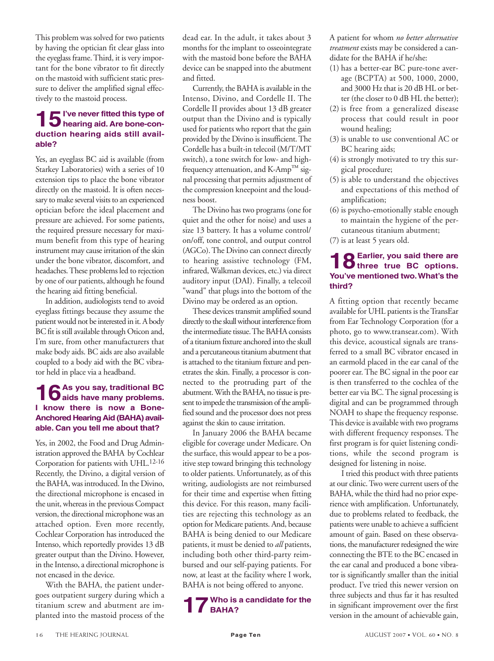This problem was solved for two patients by having the optician fit clear glass into the eyeglass frame. Third, it is very important for the bone vibrator to fit directly on the mastoid with sufficient static pressure to deliver the amplified signal effectively to the mastoid process.

## **15I've never fitted this type of hearing aid. Are bone-conduction hearing aids still available?**

Yes, an eyeglass BC aid is available (from Starkey Laboratories) with a series of 10 extension tips to place the bone vibrator directly on the mastoid. It is often necessary to make several visits to an experienced optician before the ideal placement and pressure are achieved. For some patients, the required pressure necessary for maximum benefit from this type of hearing instrument may cause irritation of the skin under the bone vibrator, discomfort, and headaches. These problems led to rejection by one of our patients, although he found the hearing aid fitting beneficial.

In addition, audiologists tend to avoid eyeglass fittings because they assume the patient would not be interested in it. A body BC fit is still available through Oticon and, I'm sure, from other manufacturers that make body aids. BC aids are also available coupled to a body aid with the BC vibrator held in place via a headband.

### **16As you say, traditional BC aids have many problems. I know there is now a Bone-Anchored Hearing Aid (BAHA) available. Can you tell me about that?**

Yes, in 2002, the Food and Drug Administration approved the BAHA by Cochlear Corporation for patients with UHL.12-16 Recently, the Divino, a digital version of the BAHA, was introduced. In the Divino, the directional microphone is encased in the unit, whereas in the previous Compact version, the directional microphone was an attached option. Even more recently, Cochlear Corporation has introduced the Intenso, which reportedly provides 13 dB greater output than the Divino. However, in the Intenso, a directional microphone is not encased in the device.

With the BAHA, the patient undergoes outpatient surgery during which a titanium screw and abutment are implanted into the mastoid process of the dead ear. In the adult, it takes about 3 months for the implant to osseointegrate with the mastoid bone before the BAHA device can be snapped into the abutment and fitted.

Currently, the BAHA is available in the Intenso, Divino, and Cordelle II. The Cordelle II provides about 13 dB greater output than the Divino and is typically used for patients who report that the gain provided by the Divino is insufficient. The Cordelle has a built-in telecoil (M/T/MT switch), a tone switch for low- and highfrequency attenuation, and K-Amp™ signal processing that permits adjustment of the compression kneepoint and the loudness boost.

The Divino has two programs (one for quiet and the other for noise) and uses a size 13 battery. It has a volume control/ on/off, tone control, and output control (AGCo). The Divino can connect directly to hearing assistive technology (FM, infrared, Walkman devices, etc.) via direct auditory input (DAI). Finally, a telecoil "wand" that plugs into the bottom of the Divino may be ordered as an option.

These devices transmit amplified sound directly to the skull without interference from the intermediate tissue. The BAHA consists of a titanium fixture anchored into the skull and a percutaneous titanium abutment that is attached to the titanium fixture and penetrates the skin. Finally, a processor is connected to the protruding part of the abutment. With the BAHA, no tissue is present to impede the transmission of the amplified sound and the processor does not press against the skin to cause irritation.

In January 2006 the BAHA became eligible for coverage under Medicare. On the surface, this would appear to be a positive step toward bringing this technology to older patients. Unfortunately, as of this writing, audiologists are not reimbursed for their time and expertise when fitting this device. For this reason, many facilities are rejecting this technology as an option for Medicare patients. And, because BAHA is being denied to our Medicare patients, it must be denied to *all* patients, including both other third-party reimbursed and our self-paying patients. For now, at least at the facility where I work, BAHA is not being offered to anyone.

# **17Who is a candidate for the BAHA?**

A patient for whom *no better alternative treatment* exists may be considered a candidate for the BAHA if he/she:

- (1) has a better-ear BC pure-tone average (BCPTA) at 500, 1000, 2000, and 3000 Hz that is 20 dB HL or better (the closer to 0 dB HL the better);
- (2) is free from a generalized disease process that could result in poor wound healing;
- (3) is unable to use conventional AC or BC hearing aids;
- (4) is strongly motivated to try this surgical procedure;
- (5) is able to understand the objectives and expectations of this method of amplification;
- (6) is psycho-emotionally stable enough to maintain the hygiene of the percutaneous titanium abutment;
- (7) is at least 5 years old.

## 18<sup>Earlier, you said there are<br> **18** three true BC options.</sup> **You've mentioned two.What's the third?**

A fitting option that recently became available for UHL patients is the TransEar from Ear Technology Corporation (for a photo, go to www.transear.com). With this device, acoustical signals are transferred to a small BC vibrator encased in an earmold placed in the ear canal of the poorer ear. The BC signal in the poor ear is then transferred to the cochlea of the better ear via BC. The signal processing is digital and can be programmed through NOAH to shape the frequency response. This device is available with two programs with different frequency responses. The first program is for quiet listening conditions, while the second program is designed for listening in noise.

I tried this product with three patients at our clinic. Two were current users of the BAHA, while the third had no prior experience with amplification. Unfortunately, due to problems related to feedback, the patients were unable to achieve a sufficient amount of gain. Based on these observations, the manufacturer redesigned the wire connecting the BTE to the BC encased in the ear canal and produced a bone vibrator is significantly smaller than the initial product. I've tried this newer version on three subjects and thus far it has resulted in significant improvement over the first version in the amount of achievable gain,